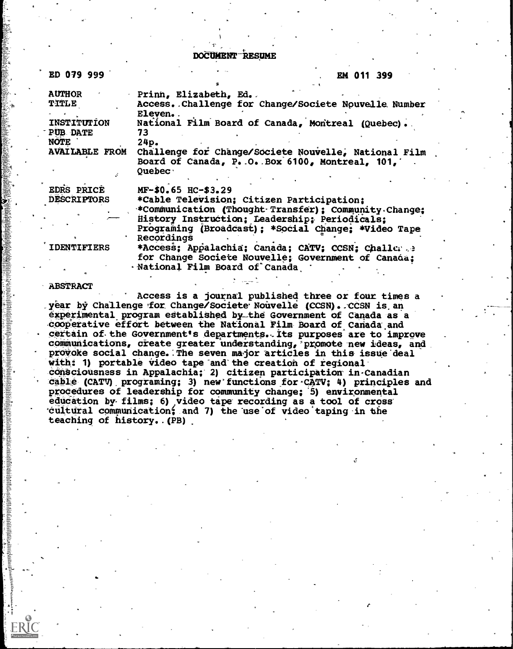DOCUMENT-RESUME

| ED 079 999                                                                                       |                                                                                                                                                                                                                                                                                                                                                                                             | EM 011 399 |  |
|--------------------------------------------------------------------------------------------------|---------------------------------------------------------------------------------------------------------------------------------------------------------------------------------------------------------------------------------------------------------------------------------------------------------------------------------------------------------------------------------------------|------------|--|
| <b>AUTHOR</b><br>TITLE<br>INSTITUTION<br><b>PUB DATE</b><br><b>NOTE</b><br><b>AVAILABLE FROM</b> | Prinn, Elizabeth, Ed.<br>Access. Challenge for Change/Societe Nouvelle Number<br>Eleven<br>National Film Board of Canada, Montreal (Quebec).<br>73<br>24p.<br>Challenge for Change/Societe Nouvelle, National Film<br>Board of Canada, P. O. Box 6100, Montreal, 101,<br>$O$ uebec $\cdot$                                                                                                  |            |  |
| EDRS PRICE<br><b>DESCRIPTORS</b><br><b>IDENTIFIERS</b>                                           | MF-\$0.65 HC-\$3.29<br>*Cable Television; Citizen Participation;<br>*Communication (Thought Transfer); Community Change;<br>History Instruction; Leadership; Periodicals;<br>Programing (Broadcast); *Social Change; *Video Tape<br>Recordings<br>*Access; Appalachia; Canada; CATV; CCSN; Challer<br>for Change Societe Nouvelle; Government of Canada;<br>· National Film Board of Canada |            |  |

### ABSTRACT

Access is a journal published three or four times a . year by Challenge for Change/Societe Nouvelle (CCSN). CCSN is an experimental program established by\_the Government of Canada as a cooperative effort between the National Film Board of Canada and certain of the Government's departments. Its purposes are to improve communications, create greater understanding, promote new ideas, and provoke social change. The seven major articles in this issue deal with: 1) portable video tape and the creation of regional. cónsciousness in Appalachia; 2) citizen participation in-Canadian cable (CATV) programing; 3) new functions for CATV; 4) principles and procedures of leadership for community change; '5) environmental education by films; 6) video tape recording as a tool of cross cultural communication; and 7) the use of video taping in the teaching of history..(PB)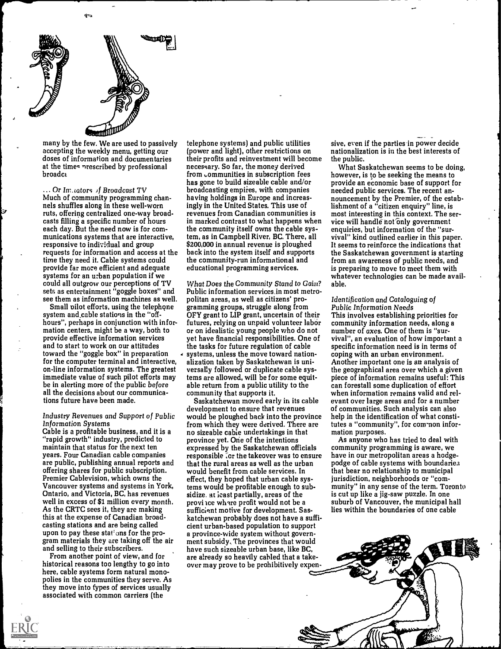

œ.

many by the few. We are used to passively accepting the weekly menu, getting our doses of information and documentaries at the times prescribed by professional broadct

 $\ldots$  Or Im. cators of Broadcast TV Much of community programming channels shuffles along in these well-worn ruts, offering centralized one-way broadcasts filling a specific number of hours each day. But the need now is for communications systems that are interactive, responsive to individual and group requests for information and access at the time they need it. Cable systems could provide far more efficient and adequate systems for an urban population if we could all outgrow our perceptions of TV sets as entertainment "goggle boxes" and see them as information machines as well.

Small pilot efforts, using the telephone system and cable stations in the "off hours", perhaps in conjunction with information centers, might be a way, both to provide effective information services and to start to work on our attitudes toward the "goggle box" in preparation for the computer terminal and interactive, on-line information systems. The greatest immediate value of such pilot efforts may be in alerting more of the public before all the decisions about our communications future have been made.

### Industry Revenues and Support of Public Information Systems

Cable is a profitable business, and it is a "rapid growth" industry, predicted to maintain that status for the next ten years. Four Canadian cable companies are public, publishing annual reports and offering shares for public subscription. Premier Cablevision, which owns the Vancouver systems and systems in York, Ontario, and Victoria, BC, has revenues well in excess of \$1 million every month. As the CRTC sees it, they are making this at the expense of Canadian broadcasting stations and are being called upon to pay these stations for the program materials they are taking off the air and selling to their subscribers.

From another point of view, and for historical reasons too lengthy to go into here, cable systems form natural monopolies in the communities they serve. As they move into fypes of services usually associated with common carriers (the

telephone systems) and public utilities (power and light), other restrictions on their profits and reinvestment will become necessary. So far, the money derived from  $\epsilon$  communities in subscription fees has gone to build sizeable cable and/or broadcasting empires, with companies having holdings in Europe and increasingly in the United States. This use of revenues from Canadian communities is in marked contrast to what happens when the community itself owns the cable system, as in Campbell River, BC. There, all \$200,000 in annual revenue is ploughed back into the system itself and supports the community-run informational and educational programming services.

What Does the Community Stand to Gain? Public information services.in most metropolitan areas, as well as citizens' programming groups, struggle along from OFY grant to LIP grant, uncertain of their futures, relying on unpaid volunteer labor or on idealistic young people who do not yet have financial responsibilities. One of the tasks for future regulation of cable systems, unless the move toward nationalization taken by Saskatchewan is universally followed or duplicate cable systems are allowed, will be for some equitable return from a public utility to the community that supports it.

Saskatchewan moved early in its cable development to ensure that revenues would be ploughed back into the province from which they were derived. There are no sizeable cable undertakings in that province yet. One of the intentions expressed by the Saskatchewan officials responsible for the takeover was to ensure that the rural areas as well as the urban would benefit from cable services. In effect, they hoped that urban cable systems would be profitable enough to subsidize. at least partially, areas of the province where profit would not be a sufficient motive for development. Saskatchewan probably does not have a sufficient urban-based population to support a province-wide system without government subsidy. The provinces that would have such sizeable urban base, like BC, are already so heavily cabled that a takeover may prove to be prohibitively expensive, even if the parties in power decide nationalization is in the best interests of the public.

What Saskatchewan seems to be doing, however, is to be seeking the means to provide an economic base of support for needed public services. The recent announcement by the Premier, of the establishment of a "citizen enquiry" line, is most interesting in this context. The service will handle not only government enquiries, but information of the "survival" kind outlined earlier in this paper. It seems to reinforce the indications that the Saskatchewan government is starting from an awareness of public needs, and is preparing to move to meet them with whatever technologies can be made available.

### Identification and Cataloguing of Public Information Needs

This involves establishing priorities for community information needs, along a number of axes. One of them is "survival", an evaluation of how important a specific information need is in terms of coping with an urban environment. Another important one is an analysis of the geographical area over which a given piece of information remains useful: This can forestall some duplication of effort when information remains valid and relevant over large areas and for a number of communities. Such analysis can also help in the identification of what constitutes a "community", for common information purposes.

As anyone who has tried to deal with community programming is aware, we have in our metropolitan areas a hodgepodge of cable systems with boundaries that bear no relationship to municipal jurisdiction, neighborhoods or "community" in any sense of the term. Toronto is cut up like a jig-saw puzzle. In one suburb of Vancouver, the municipal hall lies within the boundaries of one cable

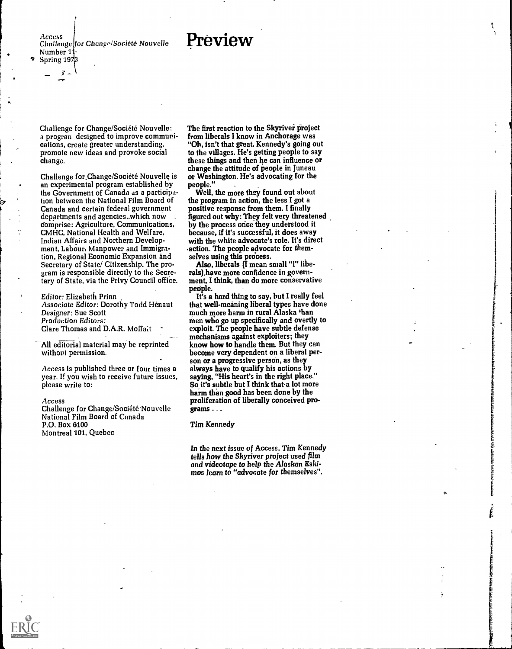## Preview

Access Challenge for Change/Societe Nouvelle Number 1), Spring  $19\frac{1}{2}$ 

Challenge for Change/Société Nouvelle: a progran designed to improve communications, create greater understanding, promote new ideas and provoke social change.

Challenge for Change/Societé Nouvelle is an experimental program established by the Government of Canada as a participation between the National Film Board of Canada and certain federal government departments and agencies,.which now Comprise: Agriculture, Communications, CMHC, National Health and Welfare, Indian Affairs and Northern Development, Labour, Manpower and Immigration, Regional Economic Expansion and Secretary of State/ Citizenship. The program is responsible directly to the Secretary of State, via the Privy Council office.

Editor: Elizabeth Prinn Associate Editor: Dorothy Todd Henaut Designer: Sue Scott Production Editors: Clare Thomas and D.A.R. Moffait

All editorial material may be reprinted without permission.

Access is published three or four times a year. If you wish to receive future issues, please write to:

### Access

Challenge for Change/Société Nouvelle National Film Board of Canada P.O. Box 6100 Montreal 101, Quebec

The first reaction to the Skyriver project from liberals I know in Anchorage was "Oh, isn't that great. Kennedy's going out to the villages. He's getting people to say these things and then he can influence or change the attitude of people in Juneau or Washington. He's advocating for the people."

Well, the more they found out about the program in action, the less I got a positive response from them. I finally figured out why: They felt very threatened by the process once they understood it because, if it's successful, it does away with the white advocate's role. It's direct .action. The people advocate for themselves using this process.

.1

Also, liberals (I mean small "l" liberals), have more confidence in government, I think, than do more conservative peciple.

It's a hard thing to say, but I really feel that well-meaning liberal types have done much more harm in rural Alaska than men who go up specifically and overtly to exploit. The people have subtle defense mechanisms against exploiters; they know how to handle them. But they can become very dependent on a liberal person or a progressive person, as they always have to qualify his actions by saying, "His heart's in the right place." So it's subtle but I think that a lot more harm than good has been done by the proliferation of liberally conceived programs .. .

Tim Kennedy

In the next issue of Access, Tim Kennedy tells how the Skyriver project used film and videotape to help the Alaskan Eskimos learn to "advocate for themselves".

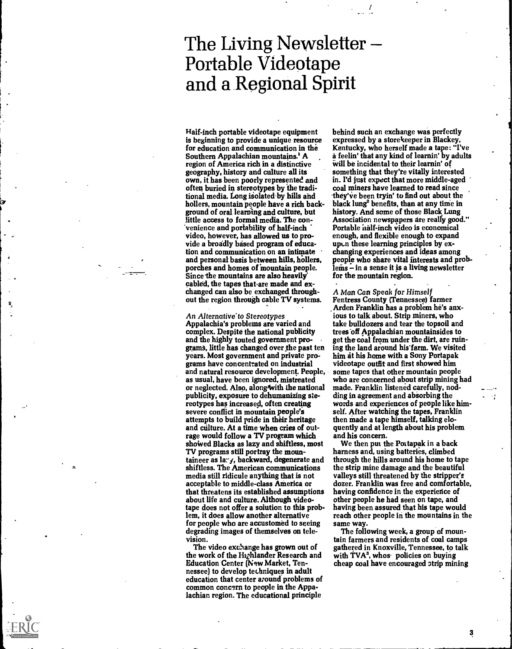## The Living Newsletter Portable Videotape and a Regional Spirit

Half-inch portable videotape equipment is beginning to provide a unique resource for education and communication in the Southern Appalachian mountains.' A region of America rich in a distinctive geography, history and culture all its own, it has been poorly represented and often buried in stereotypes by the traditional media. Long isolated by hills and hollers, mountain people have a rich background of oral learning and culture, but little access to formal media. The convenience and portability of half-inch video, however, has allowed us to provide a broadly based program of education and communication on an intimate and personal basis between hills, hollers, porches and homes of mountain people. Since the mountains are also heavily cabled, the tapes that are made and exchanged can also be exchanged throughout the region through cable TV systems.

An Alternative' to Stereotypes<br>Appalachia's problems are varied and complex. Despite the national publicity<br>and the highly touted government programs, little has changed over the past ten years. Most government and private programs have concentrated on industrial and natural resource development. People, as usual, have been ignored, mistreated or neglected. Also, along with the national publicity, exposure to dehumanizing stereotypes has increased, often creating severe conflict in mountain people's attempts to build pride in their heritage and culture. At a time when cries of outrage would follow a TV program which showed Blacks as lazy and shiftless, most TV programs still portray the mountaineer as lar-y, backward, degenerate and shiftless. The American communications media still ridicule anything that is not acceptable to middle-class America or that threatens its established assumptions about life and culture. Although videotape does not offer a solution to this problem, it does allow another alternative for people who are accustomed to seeing degrading images of themselves on television.

The video exchange has grown out of the work of the Highlander Research and Education Center (New Market, Tennessee) to develop techniques in adult education that center around problems of common conc?rn to people in the Appalachian region. The educational principle

behind such an exchange was perfectly expressed by a storekeeper in Blackey, Kentucky, who herself made a tape: "I've a feelin' that any kind of learnin' by adults Will be incidental to their learnin' of something that they're vitally interested in. I'd just expect that more middle-aged coal miners have learned to read since 'they've been tryin' to find out about the black lung' benefits, than at any time in history. And some of those Black Lung Association newspapers are really good." Portable italf-inch video is economical enough, and flexible enough to expand upcn these learning principles by exchanging experiences and ideas among people who share vital interests and prob $lems - in a sense it is a living newsletter$ for the mountain region.

. . A Man Can Speak for Himself

Fentress County (Tennessee) farmer Arden Franklin has a problem he's anxious to talk about. Strip miners, who take bulldozers and tear the topsoil and trees off Appalachian mountainsides to get thecoal from under the dirt, are ruining the land around his farm. We visited him at his home with a Sony Portapak videotape outfit and first showed him some tapes that other mountain people who are concerned about strip mining had made. Franklin listened carefully, nodding in agreement and absorbing the words and experiences of people like himself. After watching the tapes, Franklin then made a tape himself, talking eloquently and at length about his problem and his concern.

We then put the Portapak in a back harness and, using batteries, climbed through the hills around his home to tape the strip mine damage and the beautiful valleys still threatened by the stripper's dozer. Franklin was free and comfortable, having confidence in the experience of other people he had seen on tape, and having been assured that his tape would reach other people in the mountains in the same way.

The following week, a group of mountain farmers and residents of coal camps gathered in Knoxville, Tennessee, to talk with TVA<sup>3</sup>, whos policies on buying cheap coal have encouraged strip mining

3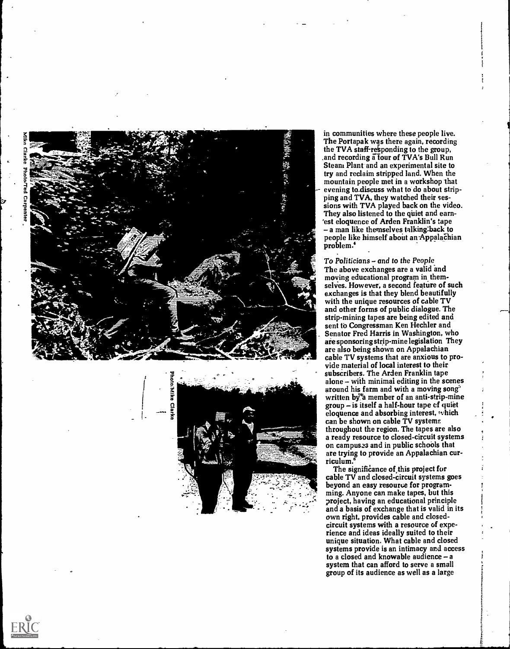

 $\frac{1}{2}$ 





in communities where these people live. The Portapak was there again, recording the TVA staff-responding to the group, and recording a four of TVA's Bull Run. Steam Plant and an experimental site to try and reclaim stripped land. When the mountain people met in a workshop that evening to\_discuss what to do about stripping and TVA, they watched their sessions with TVA played back on the video. They also listened to the quiet and earn- 'est eloquence of Arden Franklin's tape  $-$  a man like themselves talking back to people like himself about an-AppalaChian problem.'

To Politicians - and to the People The above exchanges are a valid and moving educational program in themselves. However, a second feature of such exchanges is that they blend beautifully with the unique resources of cable TV and other forms of public dialogue. The strip-mining tapes are being edited and sent to Congressman Ken Hechler and Senator Fred Harris in Washington, who are sponsoring strip-mine legislation They are also being shown on Appalachian cable TV systems that are anxious to provide material of local interest to their around his farm and with a moving song" written by<sup>8</sup> member of an anti-strip-mine group - is itself a half-hour tape of quiet eloquence and absorbing interest, which can be shown on cable TV systems throughout the region. The tapes are also a ready resource to closed-circuit systems on campuszs and in public schools that are trying to provide an Appalachian curriculum.

The significance of this project for cable TV and closed-circuit systems goes beyond an easy resource for programming. Anyone can make tapes, but this project, having an educational principle and a basis of exchange that is valid in its own right, provides cable and closedcircuit systems with a resource of experience and ideas ideally suited to their unique situation. What cable and closed systems provide is an intimacy and access<br>to a closed and knowable audience  $-a$ system that can afford to serve a small group of its audience as well as a large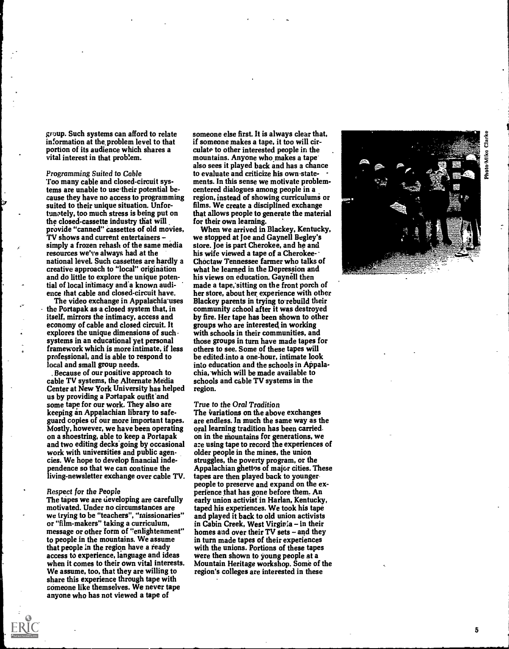group. Such systems can afford to relate information at the.problem level to that portion of its audience which shares a culate to other interested people in the vital interest in that problem. vital interest in that problem.

Programming Suited to Cable Too many cable and closed-circuit systems are unable to use their potential because they have no access to programming suited to their unique situation. Unfortunotely, too much stress is being put on the closed-cassette industry that will provide "canned" cassettes of old movies, TV shows and current entertainers simply a frozen rehash of the same media resources we've always had at the national level. Such cassettes are hardly a creative approach to "local" origination and do little to explore the unique potential of local intimacy and a known audience that cable and closed-circuit have.

The video exchange in Appalachia uses the Portapak as-a closed system that, in itself, mirrors the intimacy, access and economy of cable and closed circuit. It explores the unique dimensions of such systems in an educational yet personal framework which is more intimate, if less professional, and is able to respond to local and small group needs.

\_ Because of our positive approach to cable TV systems, the Alternate Media Center at New York University has helped us by providing a Portapak outfit'and some tape for our work. They also are keeping an Appalachian library to safeguard copies of our more important tapes. Mostly, however, we have been operating on a shoestring, able to keep a Portapak and two editing decks-going by occasional work with universities and public agencies. We hope to develop financial independence so that we can continue the living-newsletter exchange over cable TV.

### Respect for the People

The tapes we are developing are carefully motivated. Under no circumstances are we trying to be "teachers", "missionaries" or "film-makers" taking a curriculum, message or other form of "enlightenment" to people in the mountains. We assume that people in the region have a ready access to experience, language and ideas when it comes to their own vital interests. We assume, too, that they are willing to share this experience through tape with someone like themselves. We never tape anyone who has not viewed a tape of

someone else first. It is always clear that, if someone makes a tape, it too will circulate to other interested people in the. also sees it played back and has a chance to evaluate and criticize his own-statements. In this sense we motivate problemcentered dialogues among people in a region, instead of showing curriculums or films. We create a disciplined exchange that allows people to generate the material for their own learning.

When we arrived in Blackey, Kentucky, we stopped at Joe and Gaynell Begley's store. Joe is part Cherokee, and he and his wife viewed a tape of a Cherokee-Choctaw Tennessee farmer who talks of what he learned in the Depression and his views on education. Gaynell then made a tape,'sitting on the front porch of her store, about her experience with other Blackey parents in trying to rebuild their community school after it was destroyed by fire. Her tape has been shown to other groups who are interested in working with schools in their communities, and those groups in turn have made tapes for others to see. Some of these tapes will be edited into a one-hour, intimate look into education and the schools in Appalachia, which will be made available to schools and cable TV systems in the region.

### True to the Oral Tradition

The variations on the above exchanges are endless. In much the same way as the oral learning tradition has been carried. on in the mountains for generations, we a:e using tape to record the experiences of older people in the mines, the union struggles, the poverty program, or the Appalachian ghettos of major cities. These tapes are then played back to younger people to preserve and expand on the experience that has gone before them. An early union activist in Harlan, Kentucky, taped his experiences. We took his tape and played it back to old union activists in Cabin Creek, West Virginia - in their homes and over their TV sets - and they in turn made tapes of their experiences with the unions. Portions of these tapes were then shown to young people at a Mountain Heritage workshop. Some of the region's colleges are interested in these

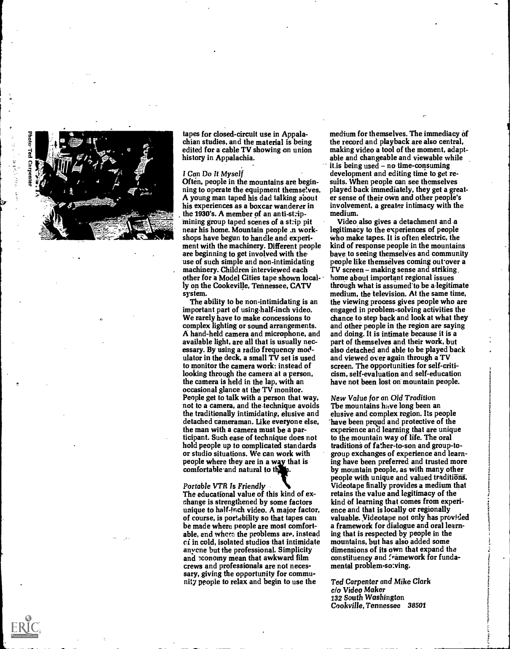



tapes for closed-circuit use in Appalachian studies, and the material is being edited for a cable TV showing on union history in Appalachia.

### I Can Do It Myself

Often, people in the mountains are beginning to operate the equipment themselves. A young man taped his dad talking about his experiences as a boxcar wanderer in the 1930's. A member of an anti-stripmining group taped scenes of a stip pit near his home. Mountain people .n workshops have begun to handle and experiment with the machinery. Different people are beginning to get involved with theuse of such simple and non-intimidating machinery. Children interviewed each other for a Model Cities tape shown locally on the Cookeville, Tennessee, CATV system.

The ability to be non-intimidating is an important part of using half-inch video. We rarely have to make concessions to complex lighting or sound arrangements. A hand-held camera and microphone, and available light, are all that is usually necessary. By using a radio frequency modulator in the deck, a small TV set is used to monitor the camera work: instead of looking through the camera at a person, the camera is held in the lap, with an occasional glance at the TV monitor. People get to talk with a person that way, not to a camera, and the technique avoids the traditionally intimidating, elusive and detached cameraman. Like everyone else, the man with a camera must be a participant. Such ease of technique does not hold people up to complicated standards or studio situations. We can work with people where they are in a way that is comfortable and natural to the

Portable VTR Is Friendly The educational value of this kind of exchange is strengthened by some factors unique to half-inch video. A major factor, of course, is portability so that tapes can be made where people are most comfortable, end where the problems are, instead ci in cold, isolated studios that intimidate anycne but the professional. Simplicity and conomy mean that awkward film crews and professionals are not necessary, giving the opportunity for community people to relax and begin to use the

medium for themselves. The immediacy of the record and playback are also central, making video a tool of the moment, adaptable and changeable and viewable while it.is being used - no time-consuming development and editing time to get results. When people can see themselves played back immediately, they get a greater sense of their own and other people's involvement, a greater intimacy with the medium.

Video also gives a detachment and a legitimacy to the experiences of people Who make tapes. It is often electric, the kind of response people in the mountains bave to seeing themselves and community people like themselves coming out over a TV screen - making sense and striking. home about important regional issues through what is assumed'to be alegitimate medium, the television. At the same time, the viewing process gives people who are engaged in problem-solving activities the chance to step back and look at what they and other people in the region are saying and doing. It is intimate because it is a part of themselves and their work, but also detached and able to be played back and viewed over again through a TV screen. The opportunities for self-criticism, self-evaluation and self-education have not been lost on mountain people.

New Value for an Old Tradition The mountains have long been an elusive and complex region. Its people have been proud and protective of the experience and learning that are unique to the mountain way of life. The oral traditions of father-to-son and group-togroup exchanges of experience and learning have been preferred and trusted more by mountain people, as with many other people with unique and valued traditions. Videotape finally provides a medium that retains the value and legitimacy of the kind of learning that comes from experience and that is locally or regionally valuable. Videotape not only has provided a framework for dialogue and oral learning that is respected by people in the mountains, but has also added some dimensions of its own that expand the constituency and framework for fundamental problem-so:ving.

Ted Carpenter and Mike Clark c/o Video Maker 132 South Washington Cookville, Tennessee 38501

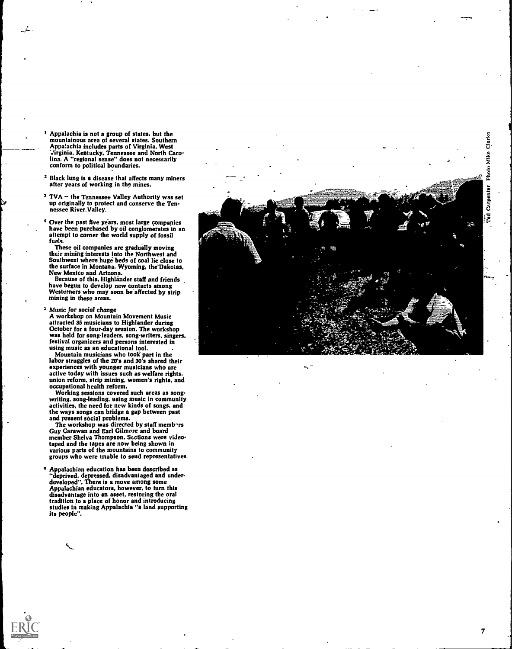Clarke Mike Photo Carpenter ្ត្រី

- I Appalachia is not a group of states, but the mountainous area of several states. Southern Appalachia includes parts of Virginia, West Virginia, Kentucky, Tennessee and North Caro-lina. A "regional sense" does not necessarily conform to political boundaries.
- 2 Black lung is a disease that affects many miners after years of working in the mines.
- $3$  TVA  $-$  the Tennessee Valley Authority was set up originally to protect and conserve the Ten-<br>nessee River\_Valley.

4 Over the past five years, most large companies have been purchased by oil conglomerates in an attempt to corner the world supply of fossil fuels.

These oil companies are gradually moving their mining interests Into the Northwest and Southwest where huge beds of coal lie close to the surface in Montana, Wyoming, the'Dakotas. New Mexico and Arizona.<br>Because of this, Highlander staff and friends

have begun to develop new contacts among Westerners who may soon be affected by strip mining in these areas.

<sup>5</sup> Music for social change<br>A workshop on Mountain Movement Music attracted 35 musicians to Highlander during October for a four-day session. The workshop was held for song-leaders, song-writers, singers. festival organizers and persons interested in using music as an educational tool.

Mountain musicians who took part in the labor struggles of the 20's and 30's shared their experiences with younger musicians who are active today with issues such as welfare rights. active today with issues such as welfare rights,<br>union reform, strip mining, women's rights, and occupational health reform.

Working sessions covered such areas as songwriting, song-leading, using music in community activities, the need for new kinds of songs, and the ways songs can bridge a gap between past and present social problems.

Guy Carawan and Earl Gilmore and board member Shelva Thompson. Sections were videotaped and the tapes are now being shown in various parts of the mountains to community groups who were unable to send representatives.

Appalachian education has been described as "deprived, depressed, disadvantaged and underdeveloped". There is a move among some<br>Appalachian educators, however, to turn this disadvantage into an asset, restoring the oral tradition to a place of honor and introducing studies in making Appalachia "a land supporting<br>its people".

7

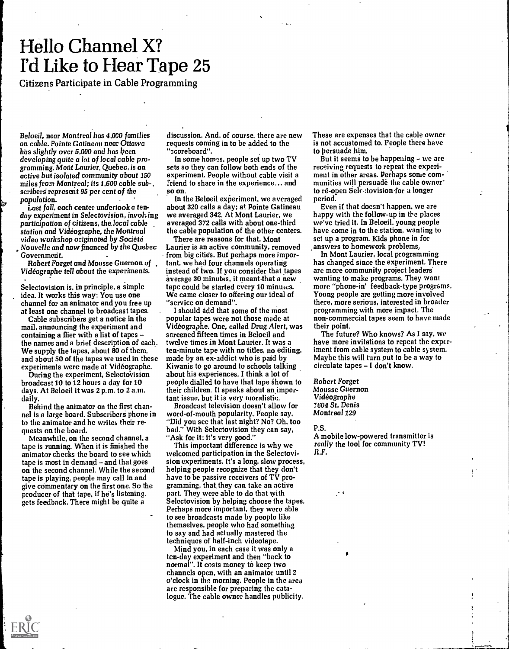# Hello Channel X? I'd Like to Hear Tape 25

Citizens Participate in Cable Programming

Be loeil, near Montreal has 4,000 families on cable. Pointe Gatineau near Ottawa has slightly over 5,000 and has been developing quite a lot of local cable programming. Mont Laurier, Quebec, is an active but isolated community about 150 miles from Montreal; its 1,600 cable sub -, scribers represent 95 per cent of the population.

Last fall, each center undertook a tenday experiment in Selectovision, involving participation of citizens, the local cable station and Videographe, the Montreal video workshop originated by Societe Nouvelle and now financed by the Quebec Government.

Robert Forget and Mousse Guernon of Videographe tell about the experiments.

. Selectovision is, in principle, a simple idea. It works this way: You use one channel for an animator and you free up at least one channel to broadcast tapes.

Cable subscribers get a notice in the mail, announcing the experiment and containing a flier with a list of tapes the names and a brief description of each. We supply the tapes, about 80 of them, and about 50 of the tapes we used in these experiments were made at Videographe.

During the experiment, Selectovision broadcast 10 to 12 hours a day for 10 days. At Beloeil it was 2 p.m. to 2 a.m. daily.

Behind the animator on the first channel is a large board. Subscribers phone in to the animator and he writes their requests on the board.

Meanwhile, on the second channel, a tape is running. When it is finished the animator checks the board to see which tape is most in demand - and that goes on the second channel. While the second tape is playing, people may call in and give commentary on the first one. So the producer of that tape, if he's listening, gets feedback. There might be quite a

discussion. And, of course, there are new requests coming in to be added to the "scoreboard".

In some homes, people set up two TV sets so they can follow both ends of the experiment. People without cable visit a friend to share in the experience... and so on.

In the Beloeil experiment, we averaged about 320 calls a day; at Pointe Gatineau we averaged 342. At Mont Laurier, we averaged 372 calls with about one-third the cable population of the other centers.

There are reasons for that. Mont Laurier is an active community, removed from big cities. But perhaps more important, we had four channels operating instead of two. If you consider that tapes average 30 minutes, it meant-that a new tape could be started every 10 minutes. We came closer to offering our ideal of "service on demand".

I should add that some of the most popular tapes were not those made at Videographe. One, called Drug Alert, was screened fifteen times in Beloeil and twelve times in Mont Laurier. It was a ten-minute tape with no titles, no editing, made by an ex-addict who is paid by Kiwanis to go around to schools talking about his experiences. I think a lot of people dialled to have that tape shown to their children. It speaks about animportant issue, but it is very moralistic.

Broadcast television doesn't allow for word-of-mouth popularity. People say, "Did you see that last night? No? Oh, too bad." With Selectovision they can say, "Ask for it; it's very good."

This important difference is why we welcomed participation in the Selectovision experiinents. It's a long, slow process, helping people recognize that they don't have to be passive receivers of TV programming, that, they can take an active part. They were able to do that with Selectovision by helping choose the tapes. Perhaps more important, they were able to see broadcasts made by people like themselves, people who had something to say and had actually mastered the techniques of half-inch videotape.

Mind you, in each case it was only a ten-day experiment and then "back to normal". It costs money to keep two channels open, with an animator until 2 o'clock in the morning. People in the area are responsible for preparing the catalogue. The cable owner handles publicity. These are expenses that the cable owner is not accustomed to. People there have to persuade him.

But it seems to be happening  $-$  we are receiving requests to repeat the experiment in other areas. Perhaps some communities will persuade the cable owner to re-open Selectovision for a longer period.

Even if that doesn't happen, we are happy with the follow-up in the places we've tried it. In Beloeil, young people have come in to the station, wanting to set up a program. Kids phone in for answers to homework problems.

In Mont Laurier, local programming has changed since the experiment. There are more community project leaders' wanting to make programs. They want more "phone-in' feedback-type programs. Young people are getting more involved there, more serious, interested in broader programming with more impact. The non-commercial tapes seem to have made their point.

The future? Who knows? As I say, we have more invitations to repeat the  $exp(r$ iment from cable system to cable system. Maybe this will turn out to be a way to circulate tapes - I don't know.

Robert Forget Mousse Guernon Videographe 1604 St. Denis Montreal 129

P.S.

A mobile low-powered transmitter is really the tool for community TV! R.F.

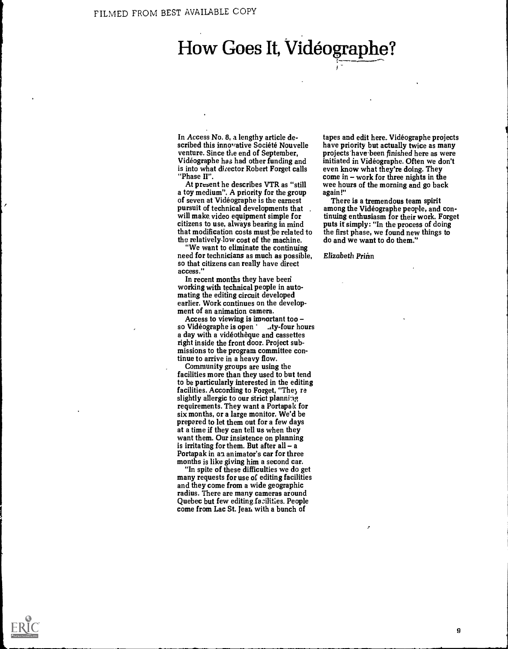# How Goes It, Vidéographe?

In Access No. 8, a lengthy article described this innovative Société Nouvelle venture. Since the end of September, Videographe has had other funding and is into what director Robert Forget calls "Phase II".

At present he describes VTR as "still a toy medium". A priority for the group of seven at Videographe is the earnest pursuit of technical developments that will make video equipment simple for citizens to use, always bearing in mind that modification costs must be related to the relatively-low cost of the machine.

"We want to eliminate the continuing need for technicians as much as possible, so that citizens can really have direct access."

In recent months they have been working with technical people in automating the editing circuit developed earlier. Work continues on the development of an animation camera.

Access to viewing is imnortant too so Vidéographe is open ' .ty-four hours a day with a videotheque and cassettes right inside the front door. Project submissions to the program committee continue to arrive in a heavy flow.

Community groups are using the facilities more than they used to but tend to be particularly interested in the editing facilities. According to Forget, "The, re slightly allergic to our strict planning requirements. They want a Portapak for six months, or a large monitor. We'd be prepared to let them out for a few days at a time if they can tell us when they want them. Our insistence on planning<br>is irritating for them. But after  $all - a$ Portapak in an animator's car for three months is like giving him a second car.

"In spite of these difficulties we do get many requests for use of editing facilities and they come from a wide geographic radius. There are many cameras around Quebec but few editing facilities. People come from Lac St. jean with a bunch of

tapes and edit here. Videographe projects have priority but actually twice as many projects have been finished here as were initiated in Videographe. Often we don't even know what they're doing. They come in  $-$  work for three nights in the wee hours of the morning and go back again!"

There is a tremendous team spirit among the Videographe people, and continuing enthusiasm for their work. Forget puts it simply: "In the process of doing the first phase, we found new things to do and we want to do them."

Elizabeth Prinn

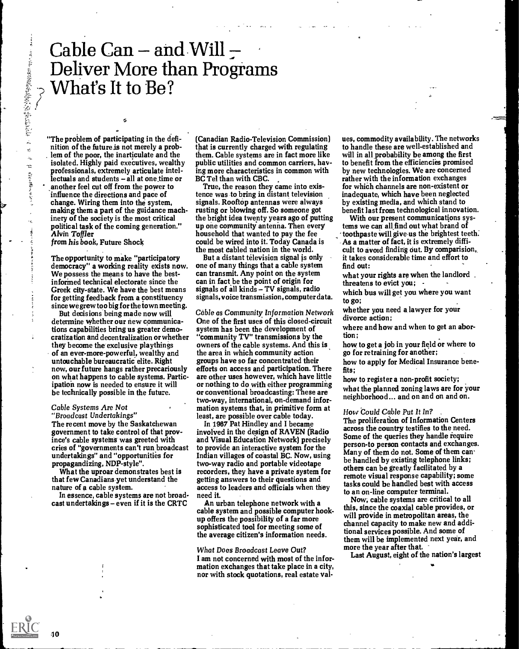## Cable Can  $-$  and Will  $-$ Deliver More than Programs What's It to Be?

"The problem of participating in the definition of the future is not merely a problem of the poor, the inarticulate and the isolated. Highly paid executives, wealthy professionals, extremely articulate intellectuals and students - all at one time or another feel cut off from the power to influence the directions and pace of change. Wiring them into the system, making them a part of the guidance machinery of the society is the most critical political task of the coming generation." Alvin Toffler

tl;

from his book, Future Shock

j.

 $\hat{u}$ 

The opportunity to make "participatory democracy" a working reality exists now. We possess the means to have the bestinformed technical electorate since the Greek city-state. We have the best means for getting feedback from a constituency since we grew too big for the town meeting.

But decisions being made now will determine whether our new communications capabilities bring us greater democratization and decentralization or whether they become the exclusive playthings of an ever-more-powerful, wealthy and untouchable bureaucratic elite. Right now, our future hangs rather precariously on what happens to cable systems. Participation now is needed to ensure it will be technically possible in the future.

### Cable Systems Are Not "Broadcast Undertakings"

The recent move by the Saskatchewan government to take control of that province's cable systems was greeted with cries of "governments can't run broadcast undertakings" and "opportunities for propagandizing, NDP-style".

What the uproar demonstrates best is that few Canadians-yet understand the nature of a cable system.

In essence, cable systems are not broadcast undertakings - even if it is the CRTC

(Canadian Radio-Television Commission) that is currently charged with regulating them. Cable systems are in fact more like public utilities and common carriers, having more characteristics in common with BC Tel than with CBC.

True, the reason they came into existence was to bring in distant television signals. Rooftop antennas were always rusting or blowing off. So someone got the bright idea twenty years ago of putting up one community antenna. Then every household that wanted to pay the fee could be wired into it; Today Canada is the most Cabled nation in the world.

But a distant television signal is only one of many things that a cable system can transmit. Any point on the system can in fact be the point of origin for signals of all kinds - TV signals, radio signals, voice transmission, computer data.

Cable as Community Information Network One of the first uses of this Closed-circuit system has been the development of "community TV" transmissions by the owners of the cable systems. And this is the area in which community action groups have so far concentrated their efforts on access and participation. There are other uses however, which have little or nothing to do with either programming or conventional broadcasting: These are two-way, international, on-demand information systems that, in primitive form at least, are possible over cable today.

In 1967 Pat Hindley and I became involved in the design of RAVEN (Radio and Visual Education Network) precisely to provide an interactive system for the Indian villages of coastal BC. Now, using two-way radio and portable videotape recorders, they have a private system for getting answers to their questions and access to leaders and officials when they need it.

An urban telephone network with a cable system and possible computer hookup offers the possibility of a far more sophisticated tool for meeting some of the average citizen's information needs.

## What Does Broadcast Leave Out?

I am not concerned with most of the information exchanges that take place in a city, nor with stock quotations, real estate values, commodity availability. The networks to handle these are well-established and will in all probability be among the first to benefit from the efficiencies promised by new technologies. We are concerned rather with the information exchanges for which channels are non-existent or inadequate, which have been neglected by existing media, and which stand to benefit last from technological innovation.

With our present communications systems we can all find out what brand of toothpaste will give-us the brightest teeth. As a matter of fact, it is extremely difficult to avoid finding out. By comparision, it takes considerable time and effort to find out:

what your rights are when the landlord. threatens to evict you;

which bus will get you where you want to go;

whether you need a lawyer for your divorce action;

where and how and when to get an abortion;

how to get a job in your field or where to go for retraining for another;

how to apply for Medical Insurance benefits;

how to register a non-profit society; what the planned zoning laws are for your neighborhood... and on and on and on.

### How 'Could Cable Put It In?

The proliferation of Information Centers across the country testifies to the need. Some of the queries they handle require person-to person contacts and exchanges. Many of them do not. Some of them canbe handled by existing telephone links; others can be greatly facilitated by a remote visual response capability; some tasks could be handled best with access to an on-line computer terminal.

Now; cable systems are critical to all this, since the coaxial cable provides, or will provide in metropolitan areas, the channel capacity to make new and additional services possible. And some of them will be implemented next year, and more the year after that.

Last August, eight of the nation's largest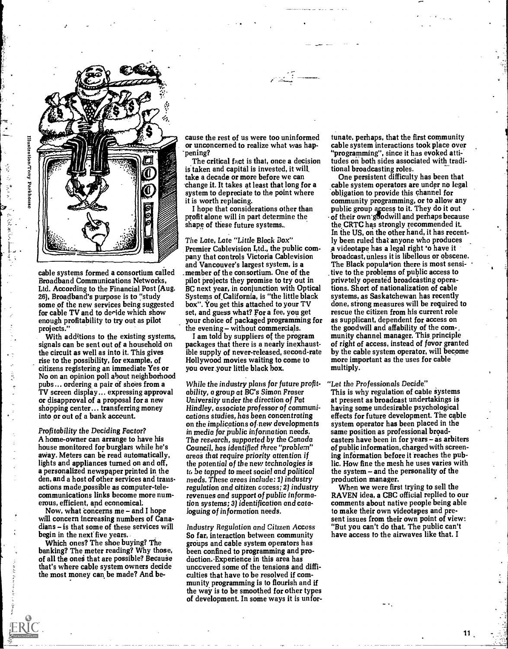

cable systems formed a consortium called Broadband Communications Networks, Ltd. According to the Financial Post (Aug. 26), Broadband's purpose is to "study some of the new services being suggested for cable TV and to deride which show enough profitability to try out as pilot projects."

With additions to the existing systems, signals can be sent out of a household on the circuit as well as into it. This gives rise to the possibility, for example, of citizens registering an immediate Yes or No on an opinion poll about neighborhood pubs... ordering a pair of shoes from a TV screen display... expressing approval or disapproval of a proposal for a new shopping center... transferring money into or out of a bank account.

 $\tilde{\epsilon}_i$ 

Profitability the Deciding Factor? A home-owner can arrange to have his house monitored for burglars while he's away. Meters can be read automatically, lights and appliances turned on and off, a personalized newspaper printed in the den, and a host of other services and transactions made.possible as computer-telecommunications links become more numerous, efficient, and economical.

Now, what concerns me - and I hope will concern increasing numbers of Canadians - is that some of these services will begin in the next five years.

Which ones? The shoe buying? The banking? The meter reading? Why those, of all the ones that are possible? Because that's where cable system owners decide the most money can be made? And be- .

cause the rest of us were too uninformed or unconcerned to realize what was happening?

The critical fact is that, once a decision is taken and capital is invested, it will. take a decade or more before we can -change it. It takes at least that long for a system to depreciate to the point where it is worth replacing.

I hope that considerations other than profit alone will in part determine the shape of these future systems..

The Late, Late "Little Black Box" Premier Cablevision Ltd., the public company that controls Victoria Cablevision and Vancouver's largest system, is a \_member of the consortium. One of the pilot projects they promise to try out in BC next year, in conjunction with Optical Systems of.California, is "the little black box". You get this attached to your TV set, and guess what? For a fee, you get your choice of packaged programming for the evening - without commercials.

I am told by suppliers of the program packages that there is a nearly inexhaustible supply of never-released, second-rate Hollywood movies waiting to come to you over your little black box.

While the industry plans for future profitability, a group at BC's Simon Fraser University under the direction of Pat Hindley, associate professor of communications studies, has been concentrating on the implications of new developments in media for public information needs. The research, supported by the Canada Council, has identified three "problem" areas that require priority attention if the potential of the new technologies is tc, be tapped to meet social and political needs. These areas include: 1) industry regulation and citizen access; 2) industry revenues and support of public information systems; 3) identification and cataloguing of information needs.

Industry Regulation and Citizen Access So far, interaction between community groups and cable system operators has been confined to programming and production.-Experience in this area has unccvered some of the tensions and difficulties that have to be resolved if community programming is to flourish and if the way is to be smoothed for other types of development. In some ways it is unfor-

tunate, perhaps, that the first community cable system interactions took place over "programming", since it has evoked attitudes on both sides associated with traditional broadcasting roles.

One persistent difficulty has been that cable system operators are under no legal obligation to provide this channel for community programming, or to allow any public group access to it. They do it out of their own goodwill and perhaps because the CRTC has strongly recommended it. In the US, on the other hand, it has recently been ruled that anyone who produces a videotape has a legal right 'o have it broadcast, unless it is libellous or obscene. The Black population there is most sensitive to the problems of public access to privately operated broadcasting operations. Short of nationalization of cable systems, as Saskatchewan has recently done, strong measures will be required to rescue the citizen from his current role as supplicant, dependent for access on the goodwill and affability of the community channel manager. This principle of right of access, instead of favor granted by the cable system operator, will become more important as the uses for cable multiply.

"Let the Professionals Decide"

This is why regulation of cable systems at present as broadcast undertakings is having some undesirable psychological effects for future development. The cable system operator has been placed in the same position as professional broadcasters have been in for years  $-$  as arbiters of public information, charged with screening information before it reaches the public. How fine the mesh he uses varies with the system - and the personality of the production manager.

When we were first trying to sell the RAVEN idea, a CBC official replied to our comments about native people being able to make their own videotapes and present issues from their own point of view: "But you can't do that. The public can't have access to the airwaves like that. I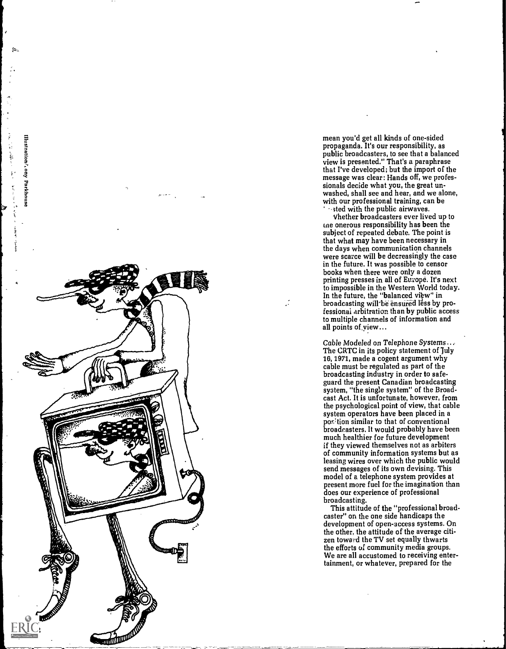

mean you'd get all kinds of one-sided propaganda. It's our responsibility, as public broadcasters, to see that a balanced view is presented." That's a paraphrase that I've developed; but the import of the message was clear: Hands off, we professionals decide what you, the great unwashed, shall see and hear, and we alone, with our professional training, can be sted with the public airwaves.

Vhether broadcasters ever lived up to me onerous responsibility has been the subject of repeated debate. The point is that what may have been necessary in the days when communication channels were scarce will be decreasingly the case in the future. It was possible to censor books when there were only a dozen printing presses in all of Europe. It's next to impossible in the Western World today. In the future, the "balanced view" in broadcasting will be ensured less by professional arbitration than by public access to multiple channels of information and all points of,yiew...

Cable Modeled on Telephone Systems... The CRTC in its policy statement of July 16, 1971, made a cogent argument why cable must be regulated as part of the broadcasting industry in order to safeguard the present Canadian broadcasting system, "the single system" of the Broadcast Act. It is unfortunate, however, from the psychological point of view, that cable system operators have been placed in a position similar to that of conventional broadcasters. It would probably have been much healthier for future development if they viewed themselves not as arbiters of community information systems but as leasing wires over which the public would send messages of its own devising. This model of a telephone system provides at present more fuel for the imagination than does our experience of professional broadcasting.

This attitude of the "professional broadcaster" on the one side handicaps the development of open-access systems. On the other, the attitude of the average citizen toward the TV set equally thwarts the efforts of community media groups. We are all accustomed to receiving entertainment, or whatever, prepared for the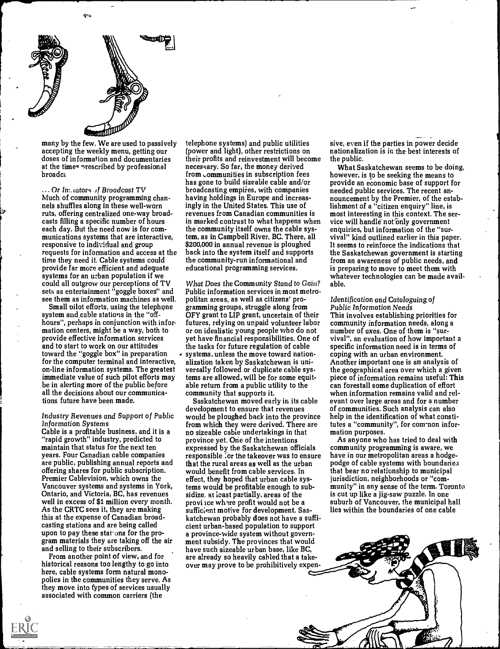

Œ٩

many by the few. We are used to passively accepting the weekly menu, getting our doses of information and documentaries at the times nrescribed by professional<br>broadca

 $\ldots$  Or In: tators of Broadcast TV Much of community programming channels shuffles along in these well-worn ruts, offering centralized one-way broadcasts filling a specific number of hours each day. But the need now is for communications systems that are interactive, responsive to individual and group requests for information and access at the time they need it. Cable systems could provide far more efficient and adequate systems for an urban population if we could all outgrow our perceptions of TV sets as entertainment "goggle boxes" and see them as information machines as well.

Small pilot efforts, using the telephone system and cable stations in the "offhours", perhaps in conjunction with information centers, might be a way, both to provide effective information services and to start to work on our attitudes toward the "goggle box" in preparation for the computer terminal and interactive, on-line information systems. The greatest immediate value of such pilot efforts may be in alerting more of the public before all the decisions about our communications future have been made.

### Industry Revenues and Support of Public Information Systems

Cable is a profitable business, and it is a "rapid growth" industry, predicted to maintain that status for the next ten years. Four Canadian cable companies are public, publishing annual reports and offering shares for public subscription. Premier Cablevision, which owns the Vancouver systems and systems in York, Ontario, and Victoria, BC, has revenues well in excess of \$1 million every month. As the CRTC sees it, they are making this at the expense of Canadian broadcasting stations and are being called upon to pay these stations for the program materials they are taking off the air and selling to their subscribers.

From another point of view, and for historical reasons too lengthy to go into here, cable systems form natural monopolies in the communities they serve. As they move into fypes of services usually associated with common carriers (the

telephone systems) and public utilities (power and light), other restrictions on their profits and reinvestment will become necessary. So far, the money derived from  $\epsilon$  ommunities in subscription fees has gone to build sizeable cable and/or broadcasting empires, with companies having holdings in Europe and increasingly in the United States. This use of revenues from Canadian communities is in marked contrast to what happens when the community itself owns the cable system, as in Campbell River, BC. There, all \$200,000 in annual revenue is ploughed back into the system itself and supports the community-run informational and educational programming services.

What Does the Community Stand to Gain? Public information services in most metropolitan areas, as well as citizens' programming groups, struggle along from OFY grant to LIP grant, uncertain of their futures, relying on unpaid volunteer labor or on idealistic young people who do not yet have financial responsibilities. One of the tasks for future regulation of cable systems, unless the move toward nationalization taken by Saskatchewan is universally followed or duplicate cable systems are allowed, will be for some equitable return from a public utility to the community that supports it.

Saskatchewan moved early in its cable development to ensure that revenues would be ploughed back into the province from which they were derived. There are no sizeable cable undertakings in that province yet. One of the intentions expressed by the Saskatchewan officials responsible for the takeover was to ensure that the rural areas as well as the urban would benefit from cable services. In effect, they hoped that urban cable systems would be profitable enough to subsidize. at 'cast partially, areas of the provi ice where profit would not be a sufficient motive for development. Saskatchewan probably does not have a sufficient urban-based population to support a province-wide system without government subsidy. The provinces that would have such sizeable urban base, like BC, are already so heavily cabled that a takeover may prove to be prohibitively expen-

sive, even if the parties in power decide nationalization is in the best interests of the public.

What Saskatchewan seems to be doing, however, is to be seeking the means to provide an economic base of support for needed public services. The recent announcement by the Premier, of the establishment of a "citizen enquiry" line, is most interesting in this context. The service will handle not only government enquiries, but information of the "survival" kind outlined earlier in this paper. It seems to reinforce the indications that the Saskatchewan government is starting from an awareness of public needs, and is preparing to move to meet them with whatever technologies can be made available.

### Identification and Cataloguing of Public Information Needs

This involves establishing priorities for community information needs, along a number of axes. One of them is "survival", an evaluation of how important a specific information need is in terms of coping with an urban environment. Another important one is an analysis of the geographical area over which a given piece of information remains useful: This can forestall some duplication of effort when information remains valid and relevant over large areas and for a number of communities. Such analysis can also help in the identification of what constitutes a "community", for com-non information purposes.

As anyone who has tried to deal with community programming is aware, we have in our metropolitan areas a hodgepodge of cable systems with boundaries that bear no relationship to municipal jurisdiction, neighborhoods or "community" in any sense of the term. Toronto is cut up like a jig-saw puzzle. In one suburb of Vancouver, the municipal hall lies within the boundaries of one cable

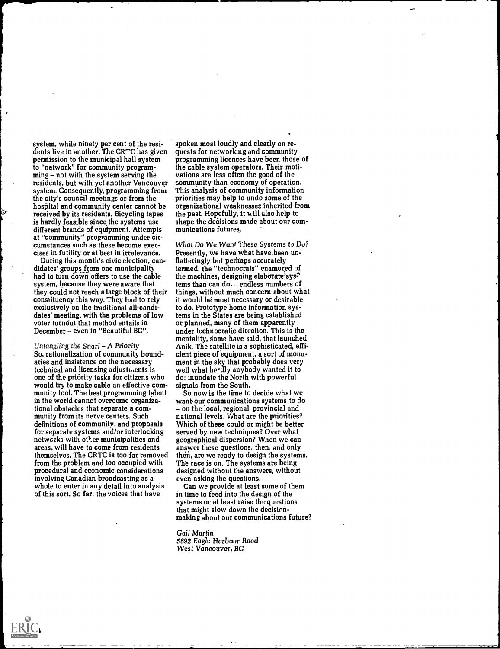system, while ninety per cent of the residents live in another. The CRTC has given permission to the municipal hall system to "network" for community program $ming - not with the system serving the$ residents, but with yet another Vancouver system. Consequently, programming from the city's council meetings or from the hospital and community center cannot be received by its residents. Bicycling tapes is hardly feasible since the systems use different brands of equipment. Attempts at "community" programming under circumstances such as these become exercises in futility or at best in irrelevance.

During this month's civic election, candidates' groups from one municipality had to turn down offers to use the cable system, because they were aware that they could not reach a large block of their constituency this way. They had to rely exclusively on the traditional all-candidates' meeting, with the problems of low voter turnout that method entails in December - even in "Beautiful BC".

Untangling the  $S$ narl  $-A$  Priority So, rationalization of community boundaries and insistence on the necessary technical and licensing adjusti.ents is one of the priority tasks for citizens who would try to make cable an effective community tool. The best programming talent in the world cannot overcome organizational obstacles that separate a community from its nerve centers. Such definitions of community, and proposals for separate systems and/or interlocking networks with other municipalities and areas, will have to come from residents themselves. The CRTC is too far removed from the problem and too occupied with procedural and economic considerations involving Canadian broadcasting as a whole to enter in any detail into analysis of this sort. So far, the voices that have

spoken most loudly and clearly on requests for networking and community programming licences have been those of the cable system operators. Their motivations are less often the good of the community than economy of operation. This analysis of community information priorities may help to undo some of the organizational weaknesses inherited from the past. Hopefully, it will also help to shape the decisions made about our communications futures.

What Do We Want These Systems to Do? Presently, we have what have.been unflatteringly but perhaps accurately termed, the "technocrats" enamored of the machines, designing elaborate sys<sup> $\pm$ </sup> tems than can do... endless numbers of things, without much concern about what it would be most necessary or desirable to do. Prototype home information systems in the States are being established or planned, many of them apparently under technocratic direction. This is the mentality, some have said, that launched Anik. The satellite is a sophisticated, efficient piece of equipment, a sort of monument in the sky that probably does very well what hardly anybody wanted it to do: inundate the North with powerful signals from the South.

So now is the time to decide what we want-our communications systems to do – on the local, regional, provincial and national levels. What are the priorities? Which of these could or might be better served by new techniques? Over what geographical dispersion? When we can answer these questions, then, and only then, are we ready to design the systems. The race is on. The systems are being designed without the answers, without even asking the questions.

Can we provide at least some of them in time to feed into the design of the systems or at least raise the questions that might slow down the decisionmaking about our communications future?

Gail Martin 5692 Eagle Harbour Road West Vancouver, BC

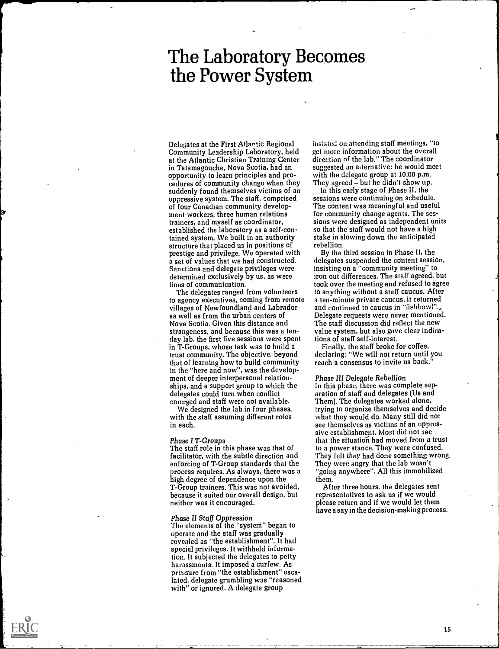## The Laboratory Becomes the Power System

Delegates at the First Atlantic Regional Community Leadership Laboratory, held at the Atlantic Christian Training Center in Tatamagouche, Nova Scotia, had an opportunity to learn principles and procedures of community change when they suddenly found themselves victims of an oppressive system. The staff, comprised of four Canadian community development workers, three human relations trainers, and myself as coordinator, established the laboratory as a self-contained system. We built in an authority structure that placed us in positions of prestige and privilege. We operated with a set of values that we had constructed. Sanctions and delegate privileges were determined exclusively by us, as were lines of communication.

The delegates ranged from volunteers to agency executives, coming from remote villages of Newfoundland and Labrador as well as from the urban centers of Nova Scotia. Given this distance and strangeness, and because this was a tenday lab, the first five sessions were spent in T-Groups, whose task was to build a trust community. The objective, beyond that of learning how to build community in the "here and now", was the development of deeper interpersonal relationships, and a support group to which the delegates could turn when conflict emerged and staff were not available.

We designed the lab in four phases, with the staff assuming different roles in each.

Phase I T-Groups<br>The staff role in this phase was that of facilitator, with the subtle direction and enforcing of T-Group standards that the process requires. As always, there was a high degree of dependence upon the T-Group trainers. This was not avoided, because it suited our overall design, but neither was it encouraged.

### Phase II Staff Oppression

The elements of the "systeni" began to operate and the staff was gradually revealed as "the establishment". It had special privileges. It withheld information. It subjected the delegates to petty harassments. It imposed a curfew. As pressure from "the establishment" escalated, delegate grumbling was "reasoned with" or ignored. A delegate group

insisted on attending staff meetings, "to get more information about the overall direction of the lab." The coordinator suggested an alternative: he would meet with the delegate group at 10:00 p.m. They agreed - but he didn't show up.

In this early stage of Phase II, the sessions were continuing on schedule. The content was meaningful and useful for community change agents. The sessions were designed as independent units so that the staff would not have a high stake in slowing down the anticipated rebellion.

By the third session in Phase II, the delegates suspended the content session, insisting on a "community meeting" to iron out differences. The staff agreed, but took over the meeting and refused to agree to anything without a staff caucus. After a ten-minute private caucus, it returned and continued to caucus in "fishbowl"..., Delegate requests were never mentioned. The staff discussion did reflect the new value system, but also gave clear indications of staff self-interest.

Finally, the staff broke for coffee, declaring: "We will not return until you reach a consensus to invite us back."

### Phase III Delegate Rebellion

In this phase, there was complete separation of staff and delegates (Us and Them). The delegates worked alone, trying to organize themselves and decide what they would do. Many still did not see themselves as victims of an oppressive establishment. Most did not see that the situation had moved from a trust to a power stance.They were confused. They felt they had done something wrong. They were angry that the lab wasn't "going anywhere". All this immobilized them.

After three hours, the delegates sent representatives to ask us if we would please return and if we would let them have a say in the decision-making process.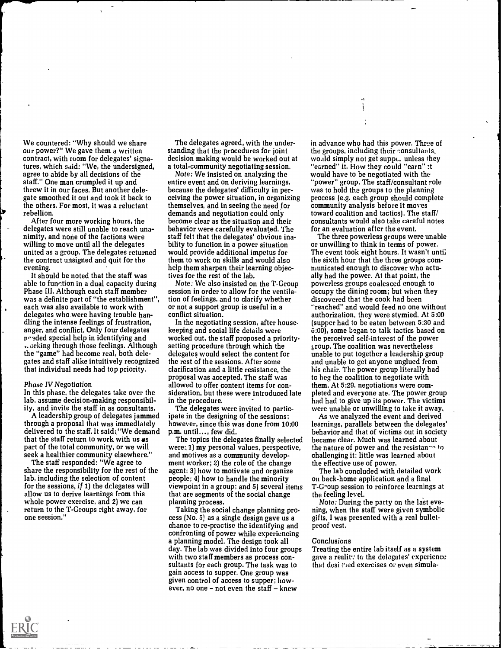We countered: "Why should we share our power?" We gave them a written contract, with room for delegates' signatures, which said: "We, the undersigned, agree to abide by all decisions of the staff." One man crumpled it up and threw it in our faces. But another delegate smoothed it out and took it back to the others. For most, it was a reluctant rebellion.

After four more working hours, the delegates were still unable to reach unanimity, and none of the factions were willing to move until all the delegates united as a group. The delegates returned the contract unsigned and quit for the evening.

It should be noted that the staff was able to function in a dual capacity during Phase III. Although each staff member was a definite part of "the establishment", each was also available to work with delegates who were having trouble handling the intense feelings of frustration, anger, and conflict. Only four delegates nr.-.ded special help in identifying and .. orking through those feelings. Although the "game" had become real, both delegates and staff alike intuitively recognized that individual needs had top priority.

### Phase IV Negotiation

In this phase, the delegates take over the lab, assume decision-making responsibility, and invite the staff in as consultants.

A leadership group of delegates jammed through a proposal that was immediately delivered to the staff. It said:"We demand that the staff return to work with us  $as$ part of the total community, or we will seek a healthier community elsewhere."

The staff responded: "We agree to share the responsibility for the rest of the lab, including the selection of content for the sessions, if  $1$ ) the delegates will allow us to derive learnings from this whole power exercise, and 2) we can return to the T-Groups right away, for one session."

The delegates agreed, with the understanding that the procedures for joint decision making would be worked out at a total-community negotiating session.

Note: We insisted on analyzing the entire event and on deriving learnings, because the delegates' difficulty in perceiving the power situation, in organizing themselves, and in seeing the need for demands and negotiation could only become clear as the situation and their behavior were carefully evaluated. The staff felt that the delegates' obvious inability to function in a power situation would provide additional impetus for them to work on skills and would also help them sharpen their learning objectives for the rest of the lab.

Note: We also insisted on the T-Group session in order to allow for the ventilation of feelings, and to clarify whether or not a support group is useful in a conflict situation.

In the negotiating session, after housekeeping and social life details were worked out, the staff proposed a prioritysetting procedure through which the delegates would select the content for the rest of the sessions. After some clarification and a little resistance, the proposal was accepted. The staff was allowed to offer content items for consideration, but these were introduced late in the procedure.

The delegates were invited to participate in the designing of the sessions; however, since this was done from 10:00 p.m. until..., few did.

The topics the delegates finally selected were:, 1) my personal values, perspective, and motives as a community development worker; 2) the role of the change agent; 3) how to motivate and organize people; 4) how to handle the minority viewpoint in a group; and 5) several items that are segments of the social change planning process.

Taking the social change planning process (No. 5) as a single design gave us a chance to re-practise the identifying and confronting of power while experiencing a planning model. The design took all day. The lab was divided into four groups with two staff members as process consultants for each group. The task was to gain access to supper. One group was given control of access to supper; however, no one  $-$  not even the staff  $-$  knew

in advance who had this power. Three of the groups, including their consultants, wo.ild simply not get suppe. unless they "earned" it. How they could "earn" :t would have to be negotiated with the "power" group. The staff/consultant role was to hold the groups to the planning process (e.g. each group should complete community analysis before it moves toward coalition and tactics). The staff/ consultants would also take careful notes for an evaluation after the event.

The three powerless groups were unable or unwilling to think in terms of power. The event took eight hours. It wasn't until the sixth hour that the three groups communicated enough to discover who actually had the power. At that point, the powerless groups coalesced enough to occupy the dining room; but when they discovered that the cook had been "reached" and would feed no one without authorization, they were stymied. At 5:00 (supper had to be eaten between 5:30 and 6:00), some began to talk tactics based on the perceived self-interest of the power group. The coalition was nevertheless unable to put together a leadership group and unable to get anyone unglued from his chair. The power group literally had tc beg the coalition to negotiate with them. At 5:29, negotiations were completed and everyone ate. The power group had had to give up its power. The victims were unable or unwilling to take it away.

As we analyzed the event and derived learnings, parallels between the delegates' behavior and that of victims out in society became clear. Much was learned about the nature of power and the resistan<sup>- $\alpha$ </sup> to challenging it; little was learned about the effective use of power.

The lab concluded with detailed work on back-home application and a final T-G-oup session to reinforce learnings at the feeling level.

Note: During the party on the last evening, when the staff were given symbolic gifts, I was presented with a real bulletproof vest.

### **Conclusions**

Treating the entire lab itself as a system gave a realit: to the delegates' experience that desi red exercises or even simula-

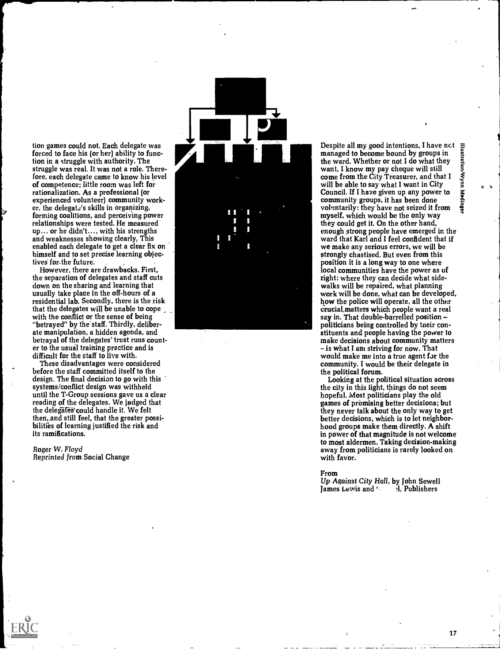tion games could not. Each delegate was forced to face his (or her) ability to function in a struggle with authority. The struggle was real. It was not a role. Therefore, each delegate came to know his level of competence; little room was left for rationalization. As a professional (or experienced volunteer) community worker, the delegate's skills in organizing, forming coalitions, and perceiving power relationships were tested. He measured up... or he didn't..., with his strengths and weaknesses showing clearly. This enabled each delegate to get a clear fix on himself and to set precise learning objectives for-the future.

However, there are drawbacks. First, the separation of delegates and staff cuts down on the sharing and learning that usually take place in the off-hours of a residential lab. Secondly, there is the risk that the delegates will be unable to cope with the conflict or the sense of being "betrayed" by the staff. Thirdly, deliberate manipulation, a hidden agenda, and betrayal of the delegates' trust runs counter to the usual training practice and is difficult for the staff to live with.

These disadvantages were considered before the staff committed itself to the design. The final decision to go with this systems/conflict design was withheld until the T-Group sessions gave us a clear reading of the delegates. We judged that the delegates could handle it. We felt then, and still feel, that the greater possibilities of learning justified the risk and its ramifications.

Roger W. Floyd<br>Reprinted from Social Change



Despite all my good intentions, I have nct<br>managed to become bound by groups in<br>the ward. Whether or not I do what they<br>want, I know my pay cheque will still<br>come from the City Treasurer, and that I<br>will be able to say wh managed to become bound by groups in<br>the ward. Whether or not I do what they the ward. Whether or not I do what they<br>want, I know my pay cheque will still  $\frac{3}{2}$ come from the City Treasurer, and that I will be able to say what I want in City<br>Council. If I have given up any power to<br>community groups, it has been done<br>voluntarily: they have not seized it from Council. If I have given up any power to community groups, it has been done voluntarily: they have not seized it from<br>myself, which would be the only way they could get it. On the other hand, enough strong people have emerged in the ward that Karl and I feel confident that if we make any serious errors, we will be strongly chastised. But even from this position it is a long way to one where local communities have the power as of right: where they can decide what sidewalks will be repaired, what planning work will be done, what can be developed, how the police will operate, all the other crucial.matters which people want a real say in. That double-barrelled position politicians being controlled by tneir constituents and people having the power to make decisions about community matters - is what I am striving for now. That would make me into a true agent for the community. I would be their delegate in the political forum.

Looking at the political situation across the city in this light, things do not seem hopeful. Most politicians play the old games of promising better decisions; but they never talk about the only way to get better decisions, which is to let neighborhood groups make them directly. A shift in power of that magnitude is not welcome to most aldermen. Taking decision-making away from politicians is rarely looked on with favor.

### From

Up Against City Hall, by John Sewell<br>James Lewis and  $\mathcal{L} = \mathcal{L}$ , Publishers James Lewis and **Numbers**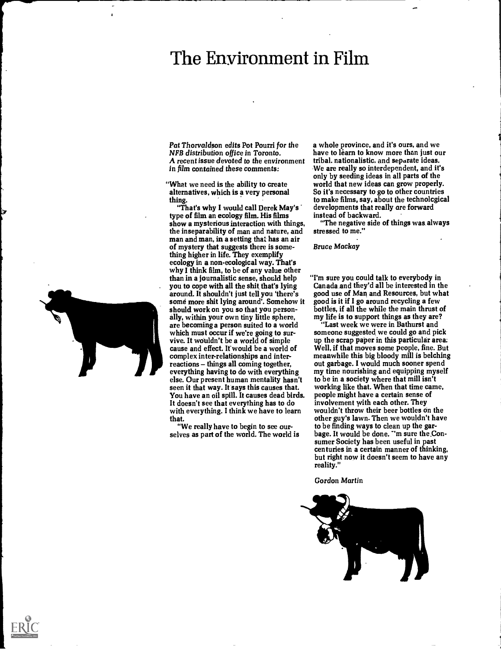## The Environment in Film

Pat Thorvaldson edits Pot Pourri for the NFB distribution office in Toronto. A recent issue devoted to the environment in film contained these comments:

"What we need is the ability to create alternatives, which is a very personal thing.

"That's why I would call Derek May's type of film an ecology film. His films show a mysterious interaction with things, the inseparability of man and nature, and man and man, in a setting that has an air of mystery that suggests there is something higher in life. They exemplify ecology in a non-ecological way. That's why I think film, to be of any value other than in a journalistic sense, should help you to cope with all the shit that's lying around. It shouldn't just tell you 'there's some more shit lying around'. Somehow it should work on you so that you personally, within your own tiny little sphere, are becoming a person suited to a world which must occur if we're going to survive. It wouldn't be a world of simple cause and effect. If would be a world of complex inter-relationships and inter $reactions - things all coming together,$ everything having to do with everything else. Our present human mentality hasn't seen it that way. It says this causes that. You have an oil spill. It causes dead birds. It doesn't see that everything has to do with everything. I think we have to learn that.

"We really have to begin to see ourselves as part of the world. The world is a whole province, and it's ours, and we have to learn to know more than just our tribal. nationalistic. and separate ideas. We are really so interdependent, and it's only by seeding ideas in all parts of the world that new ideas can grow properly. So it's necessary to go to other countries to make films, say, about the technolcgical developments that really are forward instead of backward.

"The negative side of things was always stressed to me."

Bruce Mackay

"I'm sure you could talk to everybody in Canada and they'd all be interested in the good use of Man and Resources, but what good is it if I go around recycling a few bottles, if all the while the main thrust of my life is to support things as they are?

"Last week we were in Bathurst and someone suggested we could go and pick up the scrap paper in this particular area; Well, if that moves some people, fine. But meanwhile this big bloody mill is belching out garbage. I would much sooner spend my time nourishing and equipping myself to be in a society where that mill isn't working like that. When that time came, people might have a certain sense of involvement with each other. They wouldn't throw their beer bottles on the other guy's lawn. Then we wouldn't have to be finding ways to clean up the garbage. It would be done. ''m sure the.Consumer Society has been useful in past centuries in a certain manner of thinking, but right now it doesn't seem to have any reality."

Gordon Martin





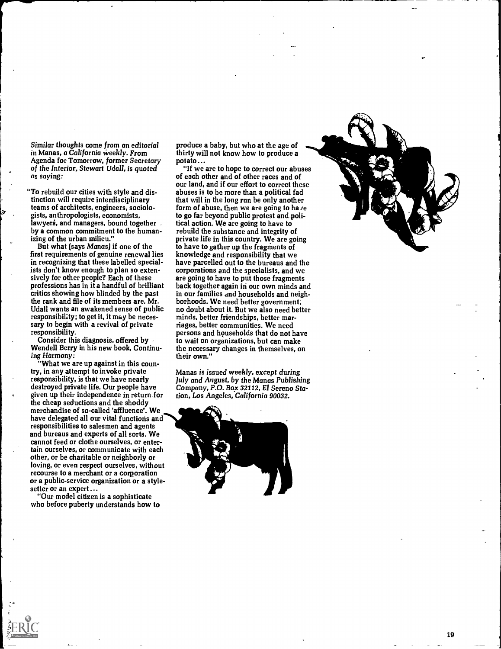Similar thoughts come from an editorial in Manas, a California weekly. From Agenda for Tomorrow, former Secretary of the Interior, Stewart Udall, is quoted as saying:

"To rebuild our cities with style and distinction will require interdisciplinary teams of architects, engineers, sociologists, anthropologists, economists,<br>lawyers, and managers, bound together. by a common commitment to the humanizing of the urban milieu."

But what (says Manas) if one of the first requirements of genuine renewal lies in recognizing that these labelled specialists don't know enough to plan so extensively for other people? Each of these professions has in it a handful of brilliant critics showing how blinded by the past the rank and file of its members are. Mr. Udall wants an awakened sense of public responsibility; to get it, it may be necessary to begin with a revival of private responsibility.

Consider this diagnosis, offered by Wendell Berry in his new book, Continuing Harmony:

"What we are up against in this country, in any attempt to invoke private responsibility, is that we have nearly destroyed private life. Our people have given up their independence in return for the cheap seductions and the shoddy merchandise of so-called 'affluence'. We have delegated all our vital functions and responsibilities to salesmen and agents and bureaus and experts of all sorts. We cannot feed or clothe ourselves, or entertain ourselves, or communicate with each other, or be charitable or neighborly or loving, or even respect ourselves, without recourse to a merchant or a corporation or a public-service organization or a stylesetter or an expert ...

"Our model citizen is a sophisticate who before puberty understands how to

produce a baby, but who at the age of thirty will not know how to produce a potato...

"If we are to hope to correct our abuses of each other and of other races and of our land, and if our effort to correct these abuses is to be more than a political fad that will in the long run be only another form of abuse, then we are going to have to go far beyond public protest and political action. We are going to have to rebuild the substance and integrity of private life in this country. We are going to have to gather up the fragments of knowledge and responsibility that we have parcelled out to the bureaus and the corporations and the specialists, and we are going to have to put those fragments back together again in our own minds and in our families and households and neighborhoods. We need better government; no doubt about it. But we also need better minds, better friendships, better marriages, better communities. We need persons and households that do not have to wait on organizations, but can make the necessary changes in themselves, on their own."

Manas is issued weekly, except during July and August, by the Manas Publishing Company, P.O. Box 32112, El Sereno Station, Los Angeles, California 90032.



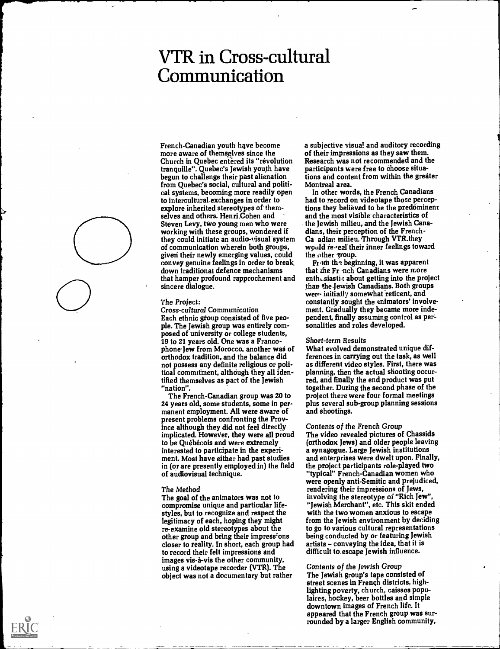## VTR in Cross-cultural Communication

French-Canadian youth have become more aware of themselves since the Church in Quebec entered its "révolution tranquille". Quebec's Jewish youth have begun to challenge their past alienation from Quebec's social, cultural and political systems, becoming more readily open to intercultural-exchanges in order to explore inherited stereotypes of themselves and others. Henri Cohen and Steven Levy, two young men who were working with these groups, wondered if they could initiate an audio-visual system of communication wherein both groups, giveri their newly emerging values, could convey genuine feelings in order to break down traditional defence mechanisms that hamper profound rapprochement and sincere dialogue.

### The Project:

Cross-cultural Communication Each ethnic group consisted of five people. The Jewish group was entirely composed of university or college students, 19 to 21 years old. One was a Francophone Jew from Morocco, another was of orthodox tradition, and the balance did not possess any definite religious or political commitment, although they all identified themselves as part of the Jewish "nation".

The French-Canadian group was 20 to 24 years old, some students, some in permanent employment. All were aware of present problems confronting the Province although they did not feel directly implicated. However, they were all proud to be Québécois and were extremely interested to participate in the experiment. Most have either had past studies in (or are presently employed in) the field of audiovisual technique.

### The Method

The goal of the animators was not to compromise unique and particular lifestyles, but to recognize and respect the legitimacy of each, hoping they might re-examine old stereotypes about the other group and bring their impressions closer to reality. In short, each group had to record their felt impressions and images vis-a-vis the other community, using a videotape recorder (VTR). The object was not a documentary but rather

a subjective visual and auditory recording of their impressions as they saw them. Research was not recommended and the participants were free to choose situations and content from within the greater Montreal area.

In other words, the French Canadians had to record on videotape those perceptions they believed to be the predominent and the most visible characteristics of the Jewish milieu, and the Jewish Canadians. their perception of the French-Ca adieu milieu. Through VTR.they would re-real their inner feelings toward the other group.

From the beginning, it was apparent that the Fr nch Canadians were more enthesiastic about getting into the project than the Jewish Canadians. Both groups wer- initially somewhat reticent, and constantly sought the animators' involvement. Gradually they became more independent, finally assuming control as personalities and roles developed.

### Short-term Results

What evolved demonstrated unique differences in carrying out the task, as well as different video styles. First, there was planning, then the actual shooting occurred, and finally the end product was put together. During the second phase of the project there were four formal meetings plus several sub-group planning sessions and shootings.

### Contents of the French Group

The video revealed pictures of Chassids (orthodox Jews) and older people leaving a synagogue. Large Jewish institutions and enterprises were dwelt upon. Finally, the project participants role-played two "typical" French-Canadian women who were openly anti-Semitic and prejudiced, rendering their impressions of Jews, involving the stereotype of "Rich Jew", "Jewish Merchant", etc. This skit ended with the two women anxious to escape from the Jewish environment by deciding to go to various cultural representations being conducted by or featuring Jewish artists - conveying the idea, that it is difficult to. escape Jewish influence.

Contents of the Jewish Group The Jewish group's tape consisted of street scenes in French districts, highlighting poverty, church, caisses populaires, hockey, beer bottles and simple downtown images of French life. It appeared that the French group was surrounded by a larger English community,



Provided by ERIC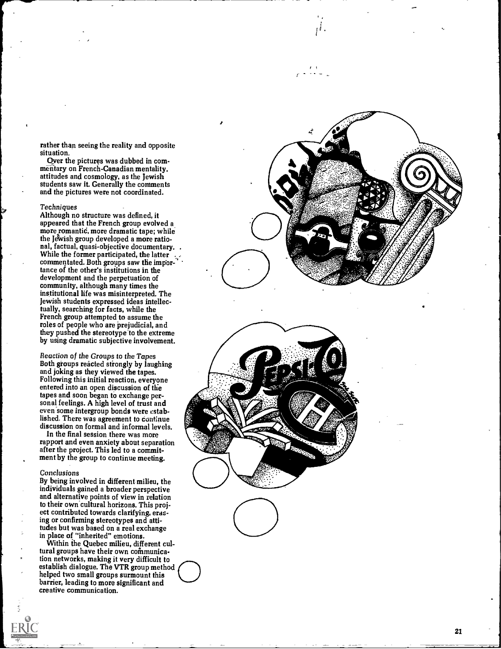rather than seeing the reality and opposite situation.

Over the pictures was dubbed in commentary on French-Canadian mentality, attitudes and cosmology, as the Jewish students saw it. Generally the comments and the pictures were not coordinated.

### Techniques

Although no structure was defined, it appeared that the French group evolved a more romantic, more dramatic tape; while the Jewish group developed a more ratio-<br>nal, factual, quasi-objective documentary. While the former participated, the latter commentated. Both groups saw the impor- $\ddot{\phantom{a}}$ . tance of the other's institutions in the development and the perpetuation of community, although many times the institutional life was misinterpreted. The Jewish students expressed ideas intellectually, searching for facts, while the French group attempted to assume the roles of people who are prejudicial, and they pushed the stereotype to the extreme by using dramatic subjective involvement.

Reaction of the Groups to the Tapes Both groups reacted strongly by laughing and joking as they viewed the tapes. Following this initial reaction, everyone entered into an open discussion of the tapes and soon began to exchange personal feelings. A high level of trust and even some intergroup bonds were established. There was agreement to continue discussion on formal and informal levels.

In the final session there was more rapport and even anxiety about separation after the project. This led to a commitment by the group to continue meeting.

### Conclusions

By being involved in different milieu, the individuals gained a broader perspective and alternative points of view in relation to their own cultural horizons. This project contributed towards clarifying, erasing or confirming stereotypes and attitudes but was based on a real exchange in place of "inherited" emotions.

Within the Quebec milieu, different cultural groups have their own communication networks, making it very difficult to establish dialogue. The VTR group method helped two small groups surmount this barrier, leading to more significant and creative communication.

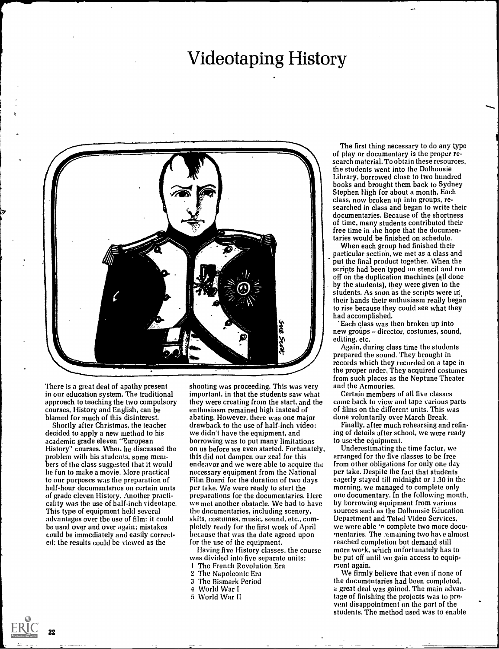## Videotaping History



There is a great deal of apathy present in our education system. The traditional approach to teaching the two compulsory courses, History and English, can be blamed for much of this disinterest.

Shortly after Christmas, the teacher decided to apply a new method to his academic grade eleven "European History" courses. Whet. he discussed the problem with his students, some members of the class suggested that it would be fun to make a movie. More practical to our purposes was the preparation of half-hour documentaries on certain units of grade eleven History. Another practicality was the use of half-inch videotape. This type of equipment held several advantages over the use of film: it could be used over and over again; mistakes could be immediately and easily corrected; the results could be viewed as the

shooting was proceeding. This was very important, in that the students saw what they were creating from the start, and the enthusiasm remained high instead of abating. However, there was one major drawback to the use of half-inch video: we didn't have the equipment, and borrowing was to put many limitations on us before we even started. Fortunately, this did not dampen our zeal for this endeavor and we were able to acquire the necessary equipment from the National Film Board for the duration of two days per take. We were ready to start the preparations for the documentaries. Here we met another obstacle. We had to have the documentaries, including scenery, skits, costumes, music, sound, etc., completely ready for the first week of April because that was the date agreed upon for the use of the equipment.

Having five History classes, the course was divided into five separate units:

- 1 The French Revolution Era
- 2 The Napoleonic Era
- 3 The Bismark Period
- World War I
- 5 World War II

The first thing necessary to do any type of play or documentary is the proper research material. To obtain these resources, the students went into the Dalhousie Library, borrowed close to two hundred books and brought them back to Sydney Stephen High for about a month. Each class, now broken up into groups, researched in class and began to write their documentaries. Because of the shortness of time. many students contributed their free time in the hope that the documentaries would be finished on schedule.

When each group had finished their particular section, we met as a class and put the final product together. When the scripts had been typed on stencil and run off on the duplication machines (all done by the students), they were given to the students. As soon as the scripts were in their hands their enthusiasm really began to rise because they could see what they had accomplished.

Each class was then broken up into new groups - director, costumes, sound, editing, etc.

diting, etc.<br>Again, during class time the students<br>prepared the sound. They brought in<br>records which they recorded on a tape in<br>the proper order. They acquired costumes Again, during class time the students prepared the sound. They brought in records which they recorded on a tape in from such places as the Neptune Theater and the Armouries.

> Certain members of all five classes came back to view and tape various parts of films on the different units. This was done voluntarily over March Break.

Finally, after much rehearsing and refining of details after school, we were ready to use the equipment.

Underestimating the time factor, we arranged for the five classes to be free from other obligations for only one day per take. Despite the fact that students eagerly stayed till midnight or 1.30 in the morning, we managed to complete only one documentary. In the following month, by borrowing equipment from various sources such as the Dalhousie Education Department and Teled Video Services, we were able 'n complete two more documentaries. The .emaining two hate almost reached completion but demand still more work, which unfortunately has to be put off until we gain access to equipment again.

We firmly believe that even if none of the documentaries had been completed, a great deal was gained. The main advantage of finishing the projects was to prevent disappointment on the part of the students. The method used was to enable



22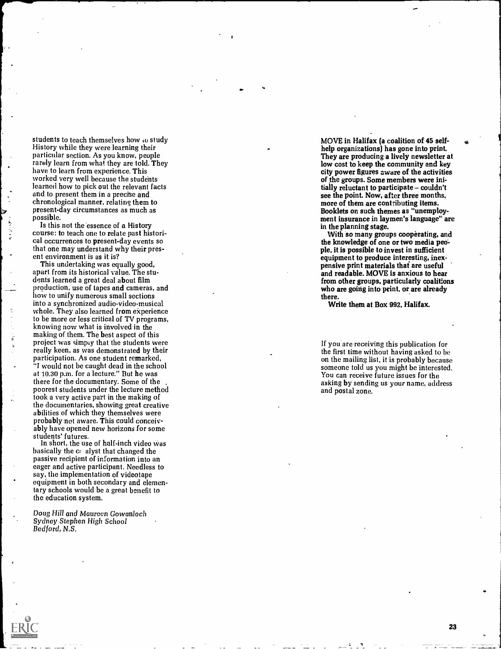students to teach themselves how  $\omega$  study History while they were learning their particular section. As you know, people rarely learn from what they are told. They have to learn from experience. This worked very well because the students learned how to pick out the relevant facts and to present them in a precise and chronological manner, relating them to present-day circumstances as much as possible.

Is this not the essence of a History course: to teach one to relate past historical occurrences to present-day events so that one may understand why their present environment is as it is?

This undertaking was equally good, apart from its historical value. The students learned a great deal about film production, use of tapes and cameras, and how to unify numerous small sections into a synchronized audio-video-musical whole. They also learned from experience to be more or less critical of TV programs, knowing now what is involved in the making of them. The best aspect of this project was simply that the students were really keen, as was demonstrated by their participation. As one student remarked, "I would not be caught dead in the school at 10.30 p.m. for a lecture." But he was there for the documentary. Some of the poorest students under the lecture method took a very active part in the making of the documentaries, showing great creative abilities of which they themselves were probably not aware. This could conceivably have opened new horizons for some students' futures.

In short, the use of half-inch video was basically the c; alyst that changed the passive recipient of information into an eager and active participant. Needless to say, the implementation of videotape equipment in both secondary and elementary schools would be a great benefit to the education system.

Doug Hill and Maureen Gowanloch Sydney Stephen High School Redford, N.S.

MOVE in Halifax (a coalition of 45 selfhelp organizations) has gone into print. They are producing a lively newsletter at low cost to keep the community and key city power figures aware of the activities of the groups. Some members were initially reluctant to participate - couldn't see the point. Now, after three months, more of them are contributing items. Booklets on such themes as "unemployment insurance in laymen's language" are in the planning stage.

With so many groups cooperating, and the knowledge of one or two media people, it is possible to invest in sufficient equipment to produce interesting, inexpensive print materials that are useful and readable. MOVE is anxious to hear from other groups, particularly coalitions who are going into print, or are already there.

Write them at Box 992, Halifax.

If you are receiving this publication for the first time without having asked to be on the mailing list, it is probably because someone told us you might be interested. You can receive future issues for the asking by sending us your name, address and postal zone.